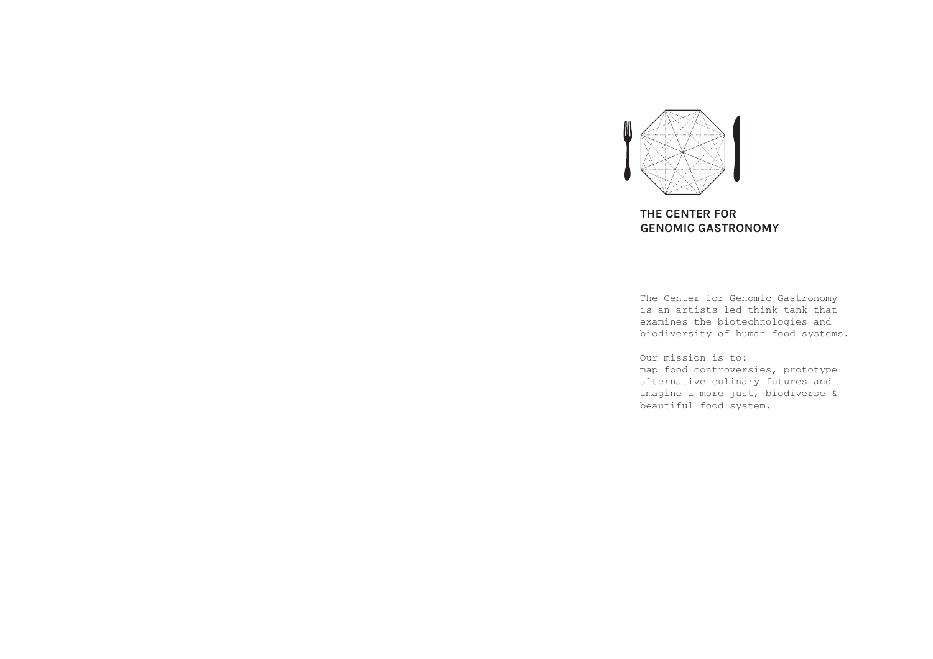

# **THE CENTER FOR GENOMIC GASTRONOMY**

The Center for Genomic Gastronomy is an artists-led think tank that examines the biotechnologies and biodiversity of human food systems.

Our mission is to: map food controversies, prototype alternative culinary futures and imagine a more just, biodiverse & beautiful food system.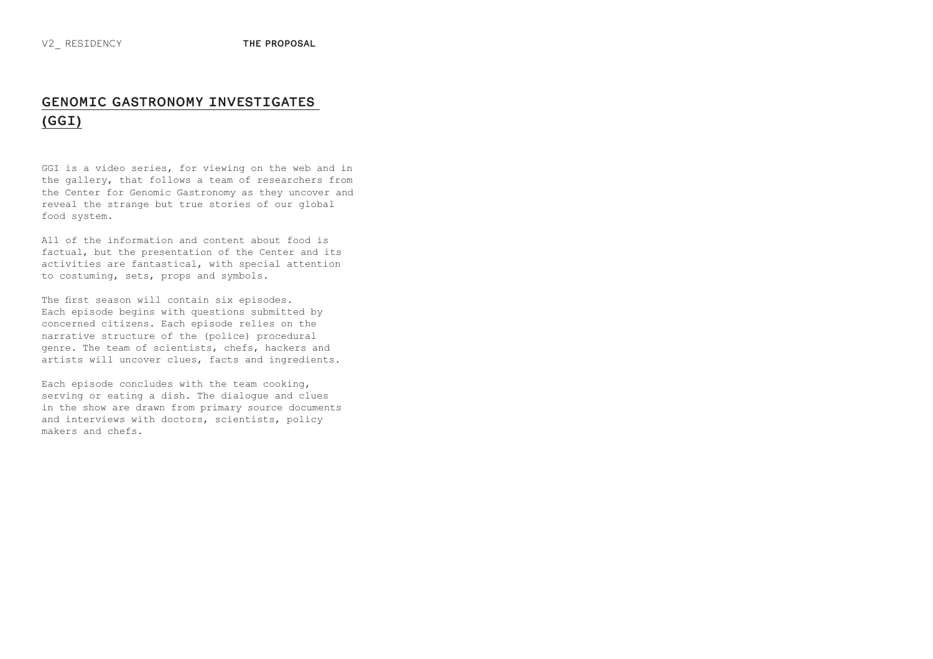# **GENOMIC GASTRONOMY INVESTIGATES (GGI)**

GGI is a video series, for viewing on the web and in the gallery, that follows a team of researchers from the Center for Genomic Gastronomy as they uncover and reveal the strange but true stories of our global food system.

All of the information and content about food is factual, but the presentation of the Center and its activities are fantastical, with special attention to costuming, sets, props and symbols.

The first season will contain six episodes. Each episode begins with questions submitted by concerned citizens. Each episode relies on the narrative structure of the (police) procedural genre. The team of scientists, chefs, hackers and artists will uncover clues, facts and ingredients.

Each episode concludes with the team cooking, serving or eating a dish. The dialogue and clues in the show are drawn from primary source documents and interviews with doctors, scientists, policy makers and chefs.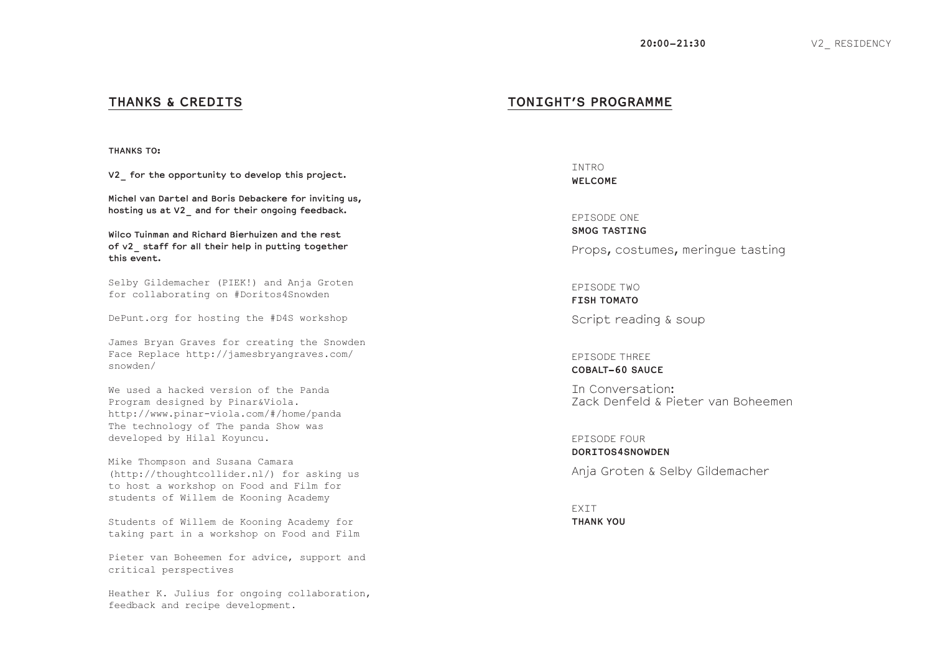# **THANKS & CREDITS**

**THANKS TO:**

**V2\_ for the opportunity to develop this project.**

**Michel van Dartel and Boris Debackere for inviting us, hosting us at V2\_ and for their ongoing feedback.**

**Wilco Tuinman and Richard Bierhuizen and the rest of v2\_ staff for all their help in putting together this event.**

Selby Gildemacher (PIEK!) and Anja Groten for collaborating on #Doritos4Snowden

DePunt.org for hosting the #D4S workshop

James Bryan Graves for creating the Snowden Face Replace http://jamesbryangraves.com/ snowden/

We used a hacked version of the Panda Program designed by Pinar&Viola. http://www.pinar-viola.com/#/home/panda The technology of The panda Show was developed by Hilal Koyuncu.

Mike Thompson and Susana Camara (http://thoughtcollider.nl/) for asking us to host a workshop on Food and Film for students of Willem de Kooning Academy

Students of Willem de Kooning Academy for taking part in a workshop on Food and Film

Pieter van Boheemen for advice, support and critical perspectives

Heather K. Julius for ongoing collaboration, feedback and recipe development.

# **TONIGHT'S PROGRAMME**

**TNTRO WELCOME**

EPISODE ONE **SMOG TASTING** Props, costumes, meringue tasting

EPISODE TWO **FISH TOMATO**

Script reading & soup

EPISODE THREE **COBALT-60 SAUCE**

In Conversation: Zack Denfeld & Pieter van Boheemen

EPISODE FOUR **DORITOS4SNOWDEN**

Anja Groten & Selby Gildemacher

EXIT **THANK YOU**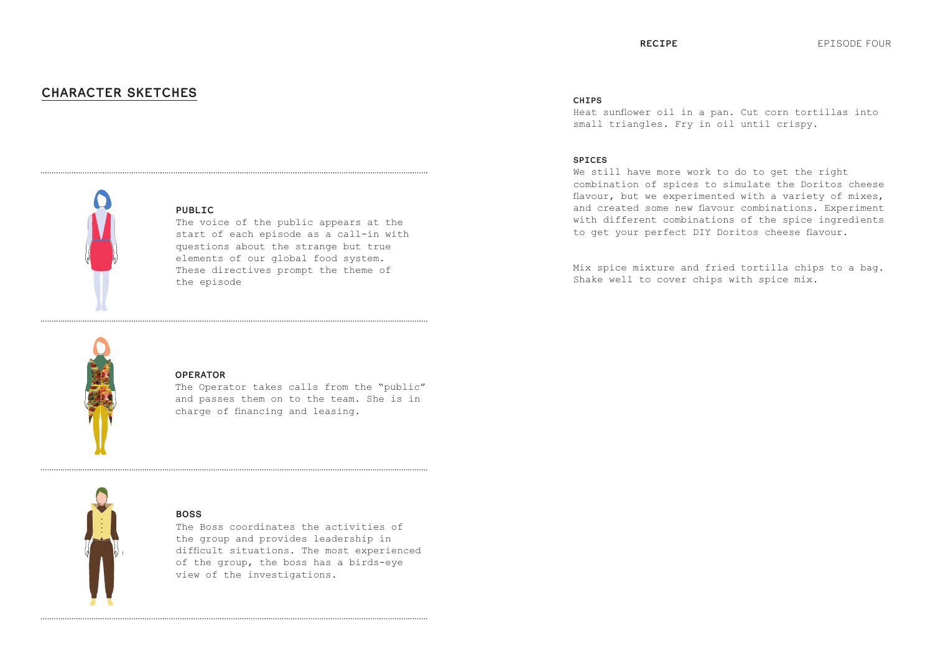# **CHARACTER SKETCHES**



## **PUBLIC**

The voice of the public appears at the start of each episode as a call-in with questions about the strange but true elements of our global food system. These directives prompt the theme of the episode



#### **OPERATOR**

The Operator takes calls from the "public" and passes them on to the team. She is in charge of financing and leasing.



## **BOSS**

The Boss coordinates the activities of the group and provides leadership in difficult situations. The most experienced of the group, the boss has a birds-eye view of the investigations.

#### **CHIPS**

Heat sunflower oil in a pan. Cut corn tortillas into small triangles. Fry in oil until crispy.

#### **SPICES**

We still have more work to do to get the right combination of spices to simulate the Doritos cheese flavour, but we experimented with a variety of mixes, and created some new flavour combinations. Experiment with different combinations of the spice ingredients to get your perfect DIY Doritos cheese flavour.

Mix spice mixture and fried tortilla chips to a bag. Shake well to cover chips with spice mix.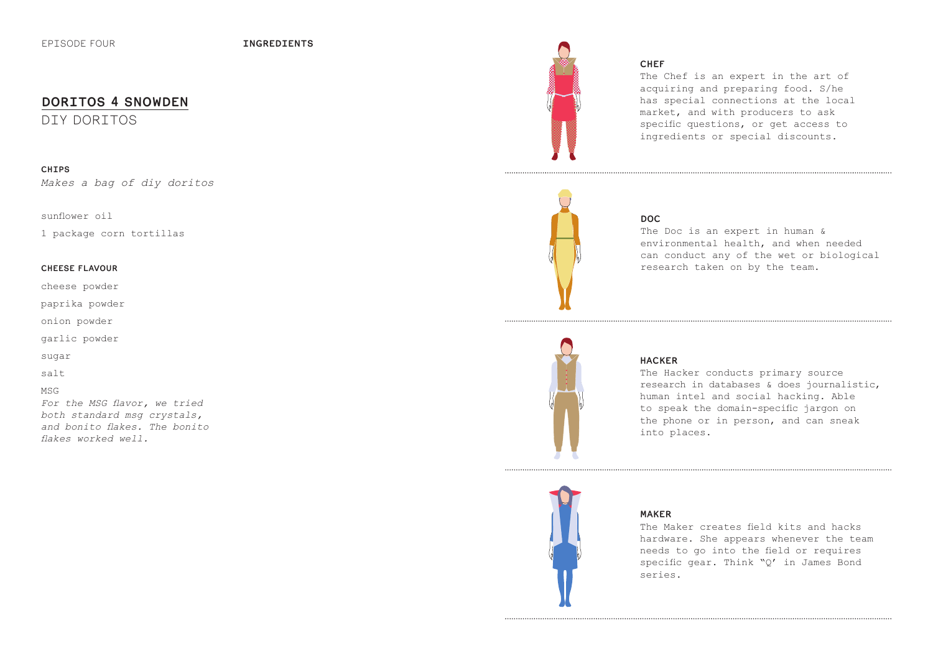# **DORITOS 4 SNOWDEN**

DIY DORITOS

### **CHIPS**

*Makes a bag of diy doritos*

#### sunflower oil

1 package corn tortillas

#### **CHEESE FLAVOUR**

cheese powder

paprika powder

onion powder

garlic powder

sugar

salt

#### MSG

*For the MSG flavor, we tried both standard msg crystals, and bonito flakes. The bonito flakes worked well.*



## **CHEF**

The Chef is an expert in the art of acquiring and preparing food. S/he has special connections at the local market, and with producers to ask specific questions, or get access to ingredients or special discounts.



## **DOC**

The Doc is an expert in human & environmental health, and when needed can conduct any of the wet or biological research taken on by the team.



#### **HACKER**

The Hacker conducts primary source research in databases & does journalistic, human intel and social hacking. Able to speak the domain-specific jargon on the phone or in person, and can sneak into places.



### **MAKER**

The Maker creates field kits and hacks hardware. She appears whenever the team needs to go into the field or requires specific gear. Think "Q' in James Bond series.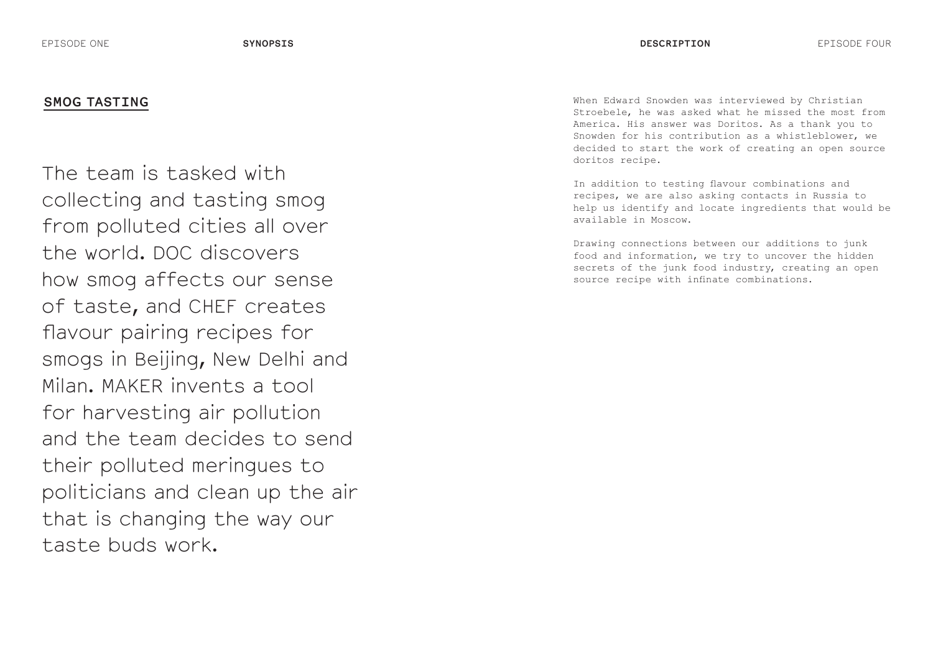# **SMOG TASTING**

The team is tasked with collecting and tasting smog from polluted cities all over the world. DOC discovers how smog affects our sense of taste, and CHEF creates flavour pairing recipes for smogs in Beijing, New Delhi and Milan. MAKER invents a tool for harvesting air pollution and the team decides to send their polluted meringues to politicians and clean up the air that is changing the way our taste buds work.

When Edward Snowden was interviewed by Christian Stroebele, he was asked what he missed the most from America. His answer was Doritos. As a thank you to Snowden for his contribution as a whistleblower, we decided to start the work of creating an open source doritos recipe.

In addition to testing flavour combinations and recipes, we are also asking contacts in Russia to help us identify and locate ingredients that would be available in Moscow.

Drawing connections between our additions to junk food and information, we try to uncover the hidden secrets of the junk food industry, creating an open source recipe with infinate combinations.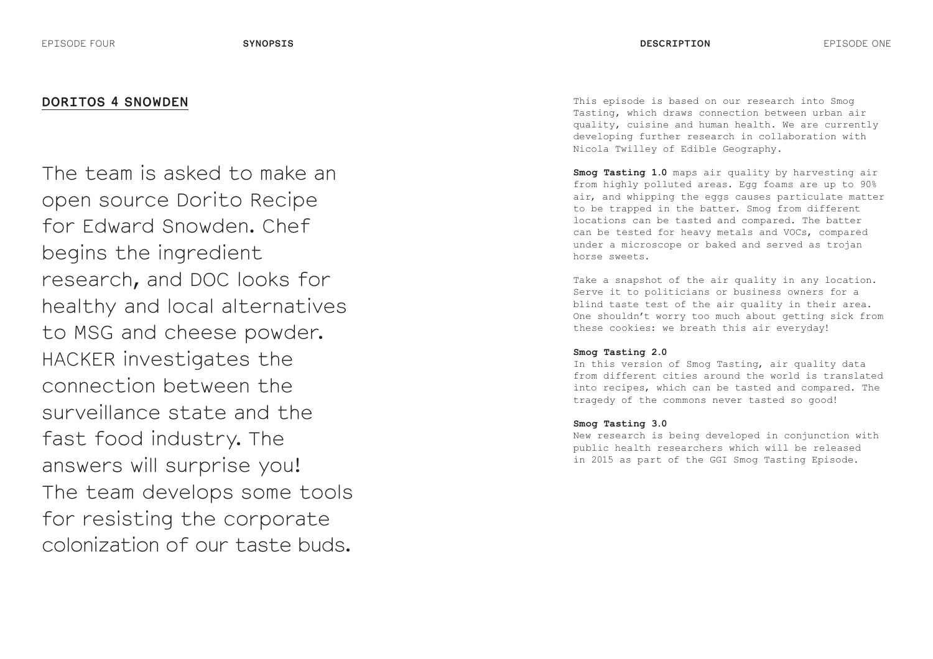# **DORITOS 4 SNOWDEN**

The team is asked to make an open source Dorito Recipe for Edward Snowden. Chef begins the ingredient research, and DOC looks for healthy and local alternatives to MSG and cheese powder. HACKER investigates the connection between the surveillance state and the fast food industry. The answers will surprise you! The team develops some tools for resisting the corporate colonization of our taste buds.

This episode is based on our research into Smog Tasting, which draws connection between urban air quality, cuisine and human health. We are currently developing further research in collaboration with Nicola Twilley of Edible Geography.

**Smog Tasting 1.0** maps air quality by harvesting air from highly polluted areas. Egg foams are up to 90% air, and whipping the eggs causes particulate matter to be trapped in the batter. Smog from different locations can be tasted and compared. The batter can be tested for heavy metals and VOCs, compared under a microscope or baked and served as trojan horse sweets.

Take a snapshot of the air quality in any location. Serve it to politicians or business owners for a blind taste test of the air quality in their area. One shouldn't worry too much about getting sick from these cookies: we breath this air everyday!

#### **Smog Tasting 2.0**

In this version of Smog Tasting, air quality data from different cities around the world is translated into recipes, which can be tasted and compared. The tragedy of the commons never tasted so good!

#### **Smog Tasting 3.0**

New research is being developed in conjunction with public health researchers which will be released in 2015 as part of the GGI Smog Tasting Episode.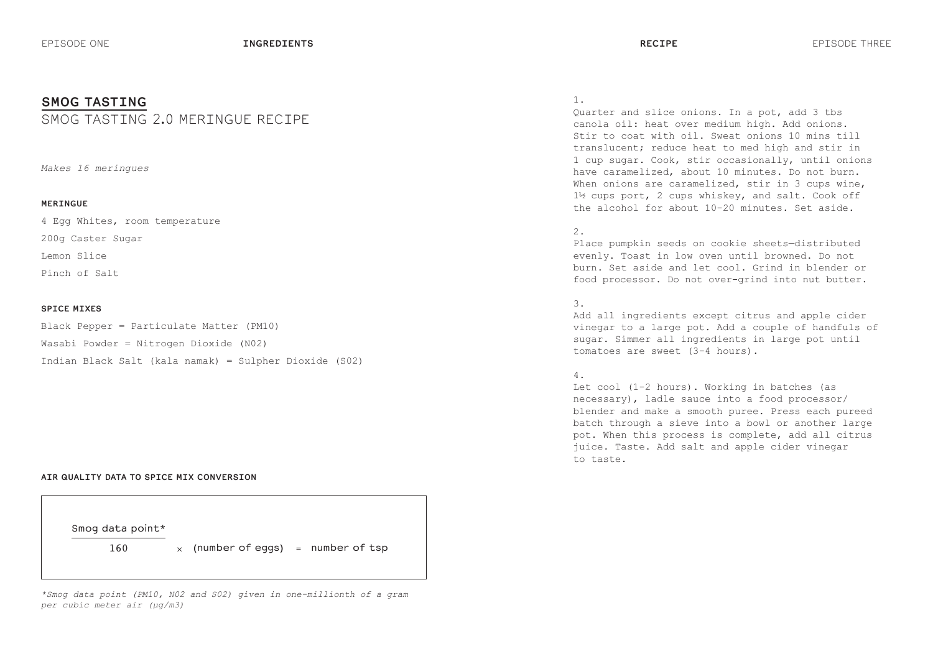## **SMOG TASTING**

# SMOG TASTING 2.0 MERINGUE RECIPE

*Makes 16 meringues*

#### **MERINGUE**

4 Egg Whites, room temperature 200g Caster Sugar Lemon Slice Pinch of Salt

#### **SPICE MIXES**

Black Pepper = Particulate Matter (PM10) Wasabi Powder = Nitrogen Dioxide (N02) Indian Black Salt (kala namak) = Sulpher Dioxide (S02)

#### **AIR QUALITY DATA TO SPICE MIX CONVERSION**



*\*Smog data point (PM10, N02 and S02) given in one-millionth of a gram per cubic meter air (µg/m3)*

#### 1.

Quarter and slice onions. In a pot, add 3 tbs canola oil: heat over medium high. Add onions. Stir to coat with oil. Sweat onions 10 mins till translucent; reduce heat to med high and stir in 1 cup sugar. Cook, stir occasionally, until onions have caramelized, about 10 minutes. Do not burn. When onions are caramelized, stir in 3 cups wine, 1½ cups port, 2 cups whiskey, and salt. Cook off the alcohol for about 10-20 minutes. Set aside.

#### 2.

Place pumpkin seeds on cookie sheets—distributed evenly. Toast in low oven until browned. Do not burn. Set aside and let cool. Grind in blender or food processor. Do not over-grind into nut butter.

## 3.

Add all ingredients except citrus and apple cider vinegar to a large pot. Add a couple of handfuls of sugar. Simmer all ingredients in large pot until tomatoes are sweet (3-4 hours).

#### 4.

Let cool (1-2 hours). Working in batches (as necessary), ladle sauce into a food processor/ blender and make a smooth puree. Press each pureed batch through a sieve into a bowl or another large pot. When this process is complete, add all citrus juice. Taste. Add salt and apple cider vinegar to taste.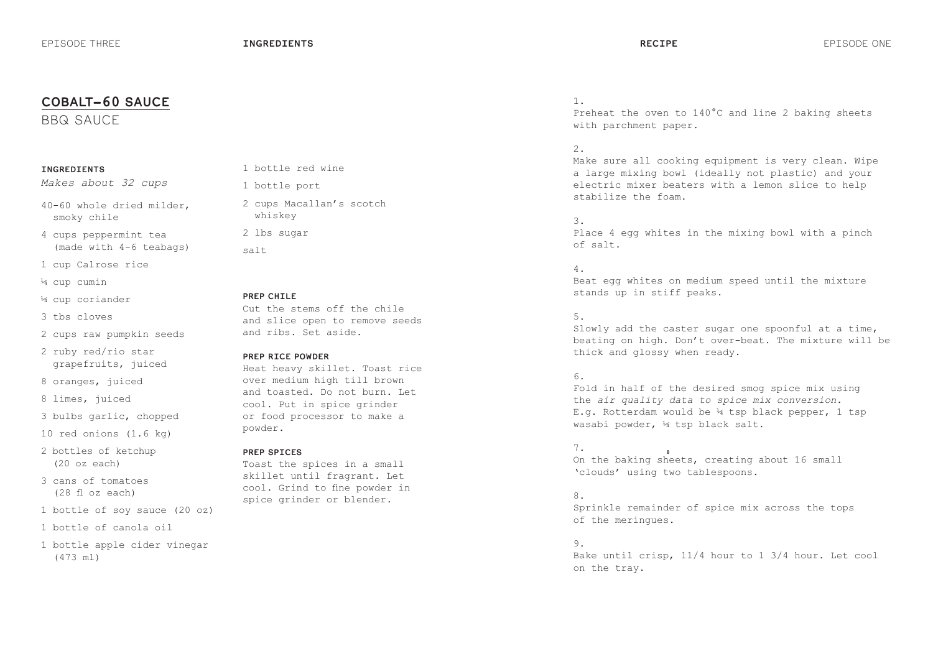# **COBALT-60 SAUCE** 1.

BBQ SAUCE

#### **INGREDIENTS**

*Makes about 32 cups*

40-60 whole dried milder, smoky chile

4 cups peppermint tea (made with 4-6 teabags)

1 cup Calrose rice

¼ cup cumin

¼ cup coriander

3 tbs cloves

2 cups raw pumpkin seeds

2 ruby red/rio star grapefruits, juiced

8 oranges, juiced

8 limes, juiced

3 bulbs garlic, chopped

10 red onions (1.6 kg)

- 2 bottles of ketchup (20 oz each)
- 3 cans of tomatoes (28 fl oz each)
- 1 bottle of soy sauce (20 oz)
- 1 bottle of canola oil
- 1 bottle apple cider vinegar (473 ml)

1 bottle red wine

1 bottle port

2 cups Macallan's scotch whiskey

2 lbs sugar

salt

#### **PREP CHILE**

Cut the stems off the chile and slice open to remove seeds and ribs. Set aside.

#### **PREP RICE POWDER**

Heat heavy skillet. Toast rice over medium high till brown and toasted. Do not burn. Let cool. Put in spice grinder or food processor to make a powder.

#### **PREP SPICES**

Toast the spices in a small skillet until fragrant. Let cool. Grind to fine powder in spice grinder or blender.

Preheat the oven to 140°C and line 2 baking sheets with parchment paper.

#### 2.

Make sure all cooking equipment is very clean. Wipe a large mixing bowl (ideally not plastic) and your electric mixer beaters with a lemon slice to help stabilize the foam.

#### 3.

Place 4 egg whites in the mixing bowl with a pinch of salt.

#### 4.

Beat egg whites on medium speed until the mixture stands up in stiff peaks.

#### 5.

Slowly add the caster sugar one spoonful at a time, beating on high. Don't over-beat. The mixture will be thick and glossy when ready.

#### 6.

Fold in half of the desired smog spice mix using the *air quality data to spice mix conversion*. E.g. Rotterdam would be ¼ tsp black pepper, 1 tsp wasabi powder, ¼ tsp black salt.

#### 7.

..<br>On the baking sheets, creating about 16 small 'clouds' using two tablespoons.

#### 8.

Sprinkle remainder of spice mix across the tops of the meringues.

#### 9.

Bake until crisp, 11/4 hour to 1 3/4 hour. Let cool on the tray.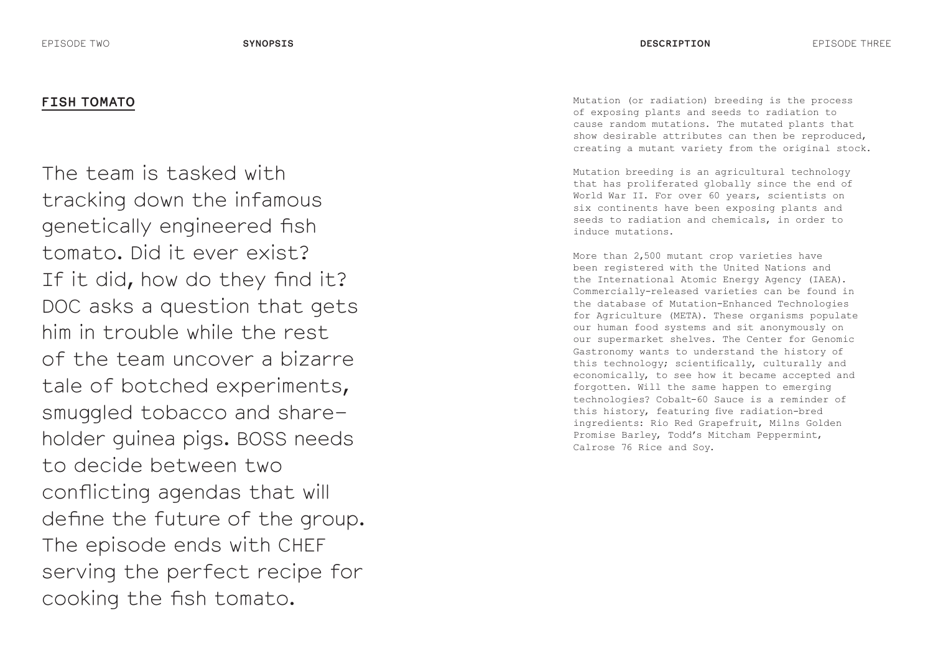# **FISH TOMATO**

The team is tasked with tracking down the infamous genetically engineered fish tomato. Did it ever exist? If it did, how do they find it? DOC asks a question that gets him in trouble while the rest of the team uncover a bizarre tale of botched experiments, smuggled tobacco and shareholder guinea pigs. BOSS needs to decide between two conflicting agendas that will define the future of the group. The episode ends with CHEF serving the perfect recipe for cooking the fish tomato.

Mutation (or radiation) breeding is the process of exposing plants and seeds to radiation to cause random mutations. The mutated plants that show desirable attributes can then be reproduced, creating a mutant variety from the original stock.

Mutation breeding is an agricultural technology that has proliferated globally since the end of World War II. For over 60 years, scientists on six continents have been exposing plants and seeds to radiation and chemicals, in order to induce mutations.

More than 2,500 mutant crop varieties have been registered with the United Nations and the International Atomic Energy Agency (IAEA). Commercially-released varieties can be found in the database of Mutation-Enhanced Technologies for Agriculture (META). These organisms populate our human food systems and sit anonymously on our supermarket shelves. The Center for Genomic Gastronomy wants to understand the history of this technology; scientifically, culturally and economically, to see how it became accepted and forgotten. Will the same happen to emerging technologies? Cobalt-60 Sauce is a reminder of this history, featuring five radiation-bred ingredients: Rio Red Grapefruit, Milns Golden Promise Barley, Todd's Mitcham Peppermint, Calrose 76 Rice and Soy.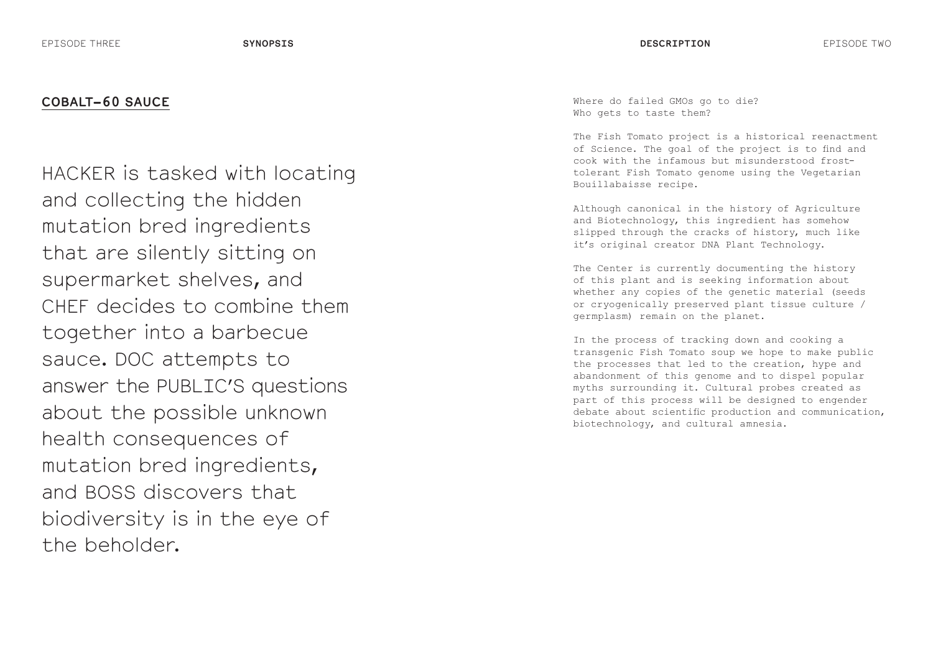HACKER is tasked with locating and collecting the hidden mutation bred ingredients that are silently sitting on supermarket shelves, and CHEF decides to combine them together into a barbecue sauce. DOC attempts to answer the PUBLIC'S questions about the possible unknown health consequences of mutation bred ingredients, and BOSS discovers that biodiversity is in the eye of the beholder.

Where do failed GMOs go to die? Who gets to taste them?

The Fish Tomato project is a historical reenactment of Science. The goal of the project is to find and cook with the infamous but misunderstood frosttolerant Fish Tomato genome using the Vegetarian Bouillabaisse recipe.

Although canonical in the history of Agriculture and Biotechnology, this ingredient has somehow slipped through the cracks of history, much like it's original creator DNA Plant Technology.

The Center is currently documenting the history of this plant and is seeking information about whether any copies of the genetic material (seeds or cryogenically preserved plant tissue culture / germplasm) remain on the planet.

In the process of tracking down and cooking a transgenic Fish Tomato soup we hope to make public the processes that led to the creation, hype and abandonment of this genome and to dispel popular myths surrounding it. Cultural probes created as part of this process will be designed to engender debate about scientific production and communication, biotechnology, and cultural amnesia.